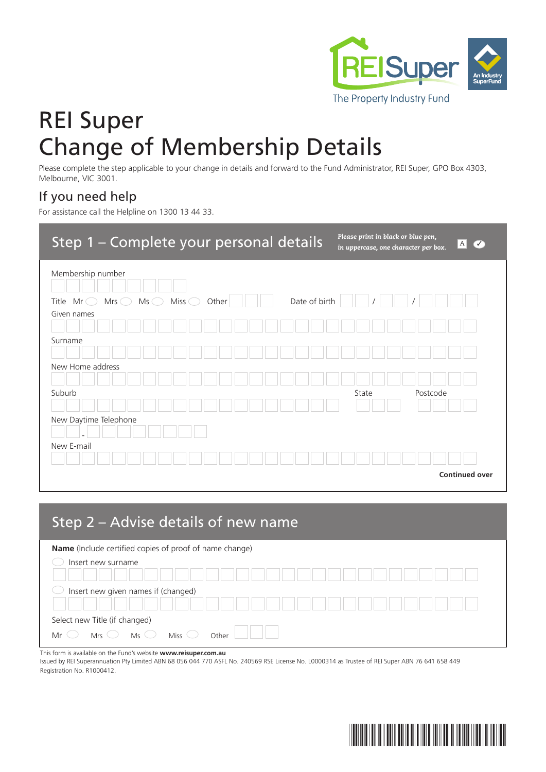

# REI Super Change of Membership Details

Please complete the step applicable to your change in details and forward to the Fund Administrator, REI Super, GPO Box 4303, Melbourne, VIC 3001.

#### If you need help

For assistance call the Helpline on 1300 13 44 33.

| Step 1 - Complete your personal details                                                                                             | Please print in black or blue pen,<br> A <br>$\overline{\mathcal{C}}$<br>in uppercase, one character per box. |
|-------------------------------------------------------------------------------------------------------------------------------------|---------------------------------------------------------------------------------------------------------------|
| Membership number                                                                                                                   |                                                                                                               |
| Date of birth<br>Miss $\bigcirc$<br>$Mrs$ $\bigcirc$<br>$Mr\bigcirc$<br>$Ms$ $\bigcirc$<br>Other<br>Title<br>Given names<br>Surname |                                                                                                               |
| New Home address<br>Suburb                                                                                                          | State<br>Postcode                                                                                             |
| New Daytime Telephone                                                                                                               |                                                                                                               |
| New E-mail                                                                                                                          | <b>Continued over</b>                                                                                         |

| Step 2 – Advise details of new name                            |                 |  |  |  |  |
|----------------------------------------------------------------|-----------------|--|--|--|--|
| <b>Name</b> (Include certified copies of proof of name change) |                 |  |  |  |  |
| Insert new surname                                             |                 |  |  |  |  |
| Insert new given names if (changed)                            |                 |  |  |  |  |
| Select new Title (if changed)<br>$Ms$ $\circ$<br>Mrs           | Miss<br>[Ofhar] |  |  |  |  |

This form is available on the Fund's website **www.reisuper.com.au**

Issued by REI Superannuation Pty Limited ABN 68 056 044 770 ASFL No. 240569 RSE License No. L0000314 as Trustee of REI Super ABN 76 641 658 449 Registration No. R1000412.

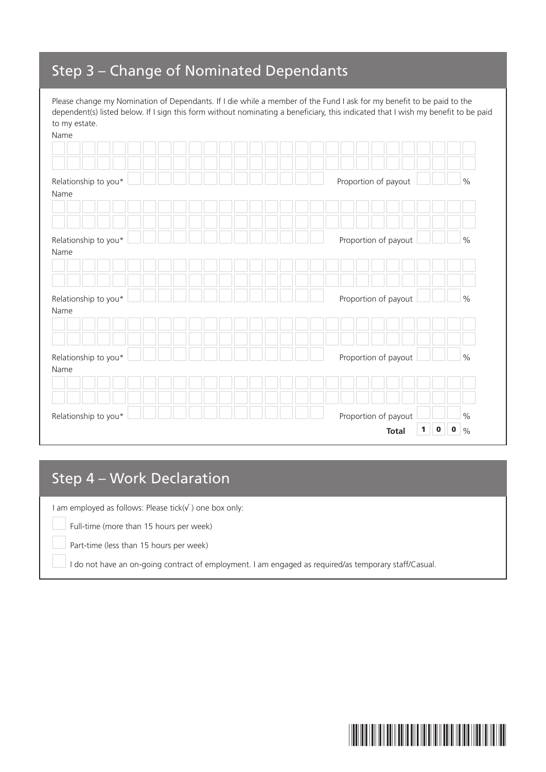# Step 3 – Change of Nominated Dependants

Please change my Nomination of Dependants. If I die while a member of the Fund I ask for my benefit to be paid to the dependent(s) listed below. If I sign this form without nominating a beneficiary, this indicated that I wish my benefit to be paid to my estate.

| Name                 |                                                  |               |
|----------------------|--------------------------------------------------|---------------|
|                      |                                                  |               |
|                      |                                                  |               |
| Relationship to you* | Proportion of payout                             | $\%$          |
| Name                 |                                                  |               |
|                      |                                                  |               |
|                      |                                                  |               |
| Relationship to you* | Proportion of payout                             | $\%$          |
| Name                 |                                                  |               |
|                      |                                                  |               |
|                      |                                                  |               |
| Relationship to you* | Proportion of payout                             | $\%$          |
| Name                 |                                                  |               |
|                      |                                                  |               |
|                      |                                                  |               |
|                      |                                                  |               |
| Relationship to you* | Proportion of payout                             | $\frac{0}{0}$ |
| Name                 |                                                  |               |
|                      |                                                  |               |
|                      |                                                  |               |
| Relationship to you* | Proportion of payout                             | $\frac{0}{0}$ |
|                      | $\mathbf 0$<br>$\mathbf{0}$<br>1<br><b>Total</b> | $\%$          |

# Step 4 – Work Declaration

I am employed as follows: Please tick(√ ) one box only:

Full-time (more than 15 hours per week)

Part-time (less than 15 hours per week)

I do not have an on-going contract of employment. I am engaged as required/as temporary staff/Casual.